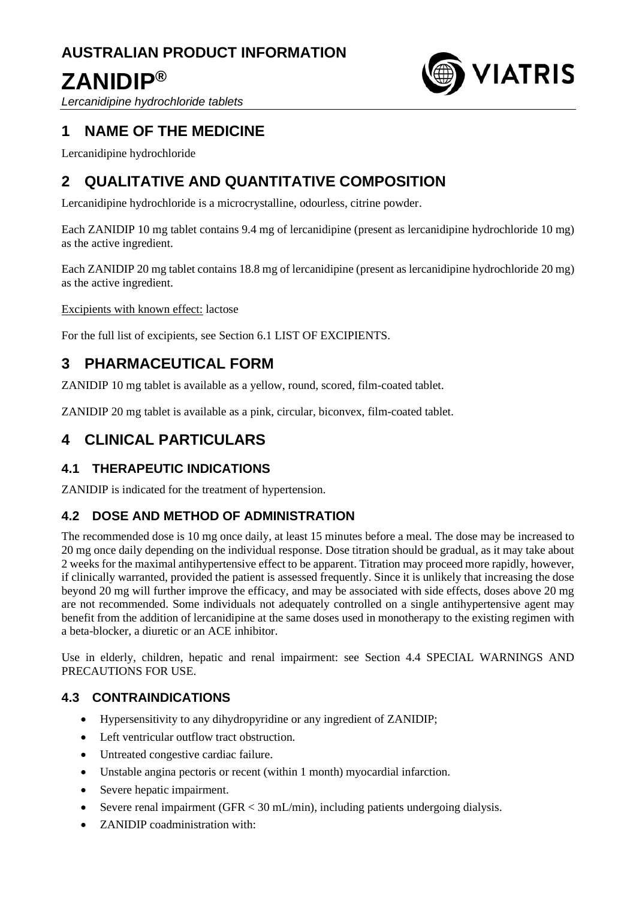## **AUSTRALIAN PRODUCT INFORMATION**

# **ZANIDIP®**



*Lercanidipine hydrochloride tablets*

## **1 NAME OF THE MEDICINE**

Lercanidipine hydrochloride

## **2 QUALITATIVE AND QUANTITATIVE COMPOSITION**

Lercanidipine hydrochloride is a microcrystalline, odourless, citrine powder.

Each ZANIDIP 10 mg tablet contains 9.4 mg of lercanidipine (present as lercanidipine hydrochloride 10 mg) as the active ingredient.

Each ZANIDIP 20 mg tablet contains 18.8 mg of lercanidipine (present as lercanidipine hydrochloride 20 mg) as the active ingredient.

Excipients with known effect: lactose

For the full list of excipients, see Section 6.1 LIST OF EXCIPIENTS.

## **3 PHARMACEUTICAL FORM**

ZANIDIP 10 mg tablet is available as a yellow, round, scored, film-coated tablet.

ZANIDIP 20 mg tablet is available as a pink, circular, biconvex, film-coated tablet.

## **4 CLINICAL PARTICULARS**

## **4.1 THERAPEUTIC INDICATIONS**

ZANIDIP is indicated for the treatment of hypertension.

## **4.2 DOSE AND METHOD OF ADMINISTRATION**

The recommended dose is 10 mg once daily, at least 15 minutes before a meal. The dose may be increased to 20 mg once daily depending on the individual response. Dose titration should be gradual, as it may take about 2 weeks for the maximal antihypertensive effect to be apparent. Titration may proceed more rapidly, however, if clinically warranted, provided the patient is assessed frequently. Since it is unlikely that increasing the dose beyond 20 mg will further improve the efficacy, and may be associated with side effects, doses above 20 mg are not recommended. Some individuals not adequately controlled on a single antihypertensive agent may benefit from the addition of lercanidipine at the same doses used in monotherapy to the existing regimen with a beta-blocker, a diuretic or an ACE inhibitor.

Use in elderly, children, hepatic and renal impairment: see Section 4.4 SPECIAL WARNINGS AND PRECAUTIONS FOR USE.

## **4.3 CONTRAINDICATIONS**

- Hypersensitivity to any dihydropyridine or any ingredient of ZANIDIP;
- Left ventricular outflow tract obstruction.
- Untreated congestive cardiac failure.
- Unstable angina pectoris or recent (within 1 month) myocardial infarction.
- Severe hepatic impairment.
- Severe renal impairment (GFR < 30 mL/min), including patients undergoing dialysis.
- ZANIDIP coadministration with: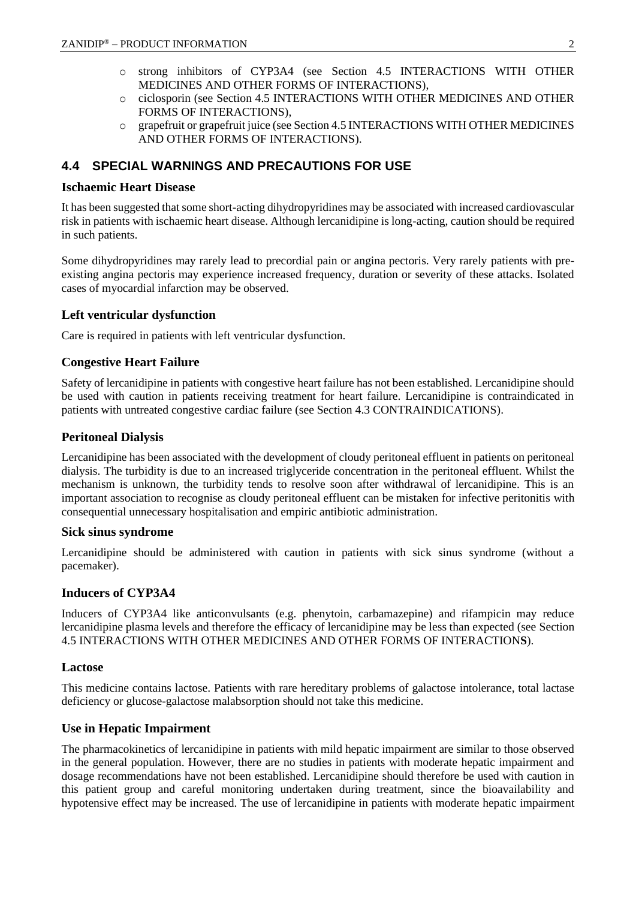- o strong inhibitors of CYP3A4 (see Section 4.5 INTERACTIONS WITH OTHER MEDICINES AND OTHER FORMS OF INTERACTIONS),
- o ciclosporin (see Section 4.5 INTERACTIONS WITH OTHER MEDICINES AND OTHER FORMS OF INTERACTIONS),
- o grapefruit or grapefruit juice (see Section 4.5 INTERACTIONS WITH OTHER MEDICINES AND OTHER FORMS OF INTERACTIONS).

## **4.4 SPECIAL WARNINGS AND PRECAUTIONS FOR USE**

#### **Ischaemic Heart Disease**

It has been suggested that some short-acting dihydropyridines may be associated with increased cardiovascular risk in patients with ischaemic heart disease. Although lercanidipine is long-acting, caution should be required in such patients.

Some dihydropyridines may rarely lead to precordial pain or angina pectoris. Very rarely patients with preexisting angina pectoris may experience increased frequency, duration or severity of these attacks. Isolated cases of myocardial infarction may be observed.

### **Left ventricular dysfunction**

Care is required in patients with left ventricular dysfunction.

### **Congestive Heart Failure**

Safety of lercanidipine in patients with congestive heart failure has not been established. Lercanidipine should be used with caution in patients receiving treatment for heart failure. Lercanidipine is contraindicated in patients with untreated congestive cardiac failure (see Section 4.3 CONTRAINDICATIONS).

### **Peritoneal Dialysis**

Lercanidipine has been associated with the development of cloudy peritoneal effluent in patients on peritoneal dialysis. The turbidity is due to an increased triglyceride concentration in the peritoneal effluent. Whilst the mechanism is unknown, the turbidity tends to resolve soon after withdrawal of lercanidipine. This is an important association to recognise as cloudy peritoneal effluent can be mistaken for infective peritonitis with consequential unnecessary hospitalisation and empiric antibiotic administration.

#### **Sick sinus syndrome**

Lercanidipine should be administered with caution in patients with sick sinus syndrome (without a pacemaker).

#### **Inducers of CYP3A4**

Inducers of CYP3A4 like anticonvulsants (e.g. phenytoin, carbamazepine) and rifampicin may reduce lercanidipine plasma levels and therefore the efficacy of lercanidipine may be less than expected (see Section 4.5 INTERACTIONS WITH OTHER MEDICINES AND OTHER FORMS OF INTERACTION**S**).

### **Lactose**

This medicine contains lactose. Patients with rare hereditary problems of galactose intolerance, total lactase deficiency or glucose-galactose malabsorption should not take this medicine.

### **Use in Hepatic Impairment**

The pharmacokinetics of lercanidipine in patients with mild hepatic impairment are similar to those observed in the general population. However, there are no studies in patients with moderate hepatic impairment and dosage recommendations have not been established. Lercanidipine should therefore be used with caution in this patient group and careful monitoring undertaken during treatment, since the bioavailability and hypotensive effect may be increased. The use of lercanidipine in patients with moderate hepatic impairment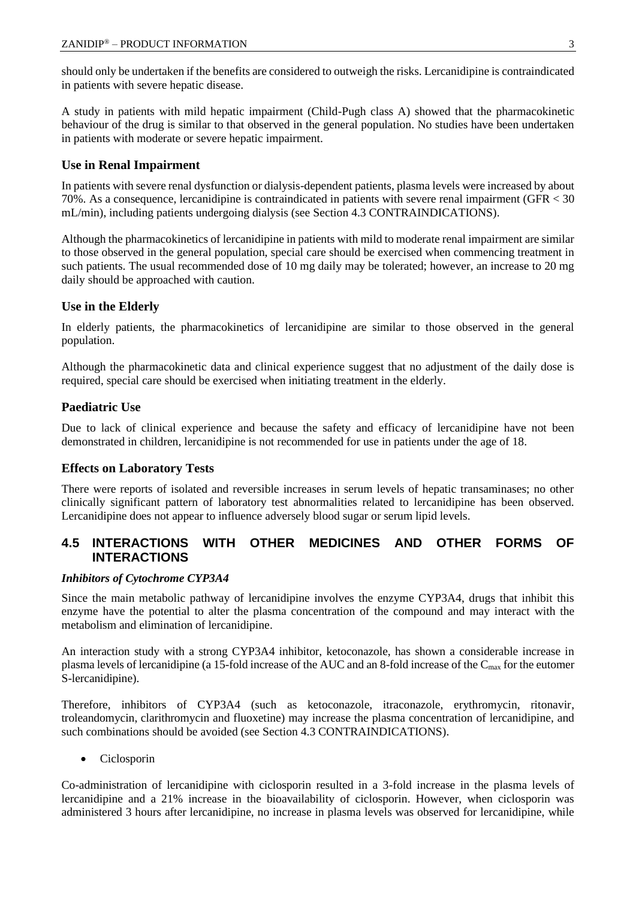should only be undertaken if the benefits are considered to outweigh the risks. Lercanidipine is contraindicated in patients with severe hepatic disease.

A study in patients with mild hepatic impairment (Child-Pugh class A) showed that the pharmacokinetic behaviour of the drug is similar to that observed in the general population. No studies have been undertaken in patients with moderate or severe hepatic impairment.

## **Use in Renal Impairment**

In patients with severe renal dysfunction or dialysis-dependent patients, plasma levels were increased by about 70%. As a consequence, lercanidipine is contraindicated in patients with severe renal impairment (GFR < 30 mL/min), including patients undergoing dialysis (see Section 4.3 CONTRAINDICATIONS).

Although the pharmacokinetics of lercanidipine in patients with mild to moderate renal impairment are similar to those observed in the general population, special care should be exercised when commencing treatment in such patients. The usual recommended dose of 10 mg daily may be tolerated; however, an increase to 20 mg daily should be approached with caution.

### **Use in the Elderly**

In elderly patients, the pharmacokinetics of lercanidipine are similar to those observed in the general population.

Although the pharmacokinetic data and clinical experience suggest that no adjustment of the daily dose is required, special care should be exercised when initiating treatment in the elderly.

## **Paediatric Use**

Due to lack of clinical experience and because the safety and efficacy of lercanidipine have not been demonstrated in children, lercanidipine is not recommended for use in patients under the age of 18.

### **Effects on Laboratory Tests**

There were reports of isolated and reversible increases in serum levels of hepatic transaminases; no other clinically significant pattern of laboratory test abnormalities related to lercanidipine has been observed. Lercanidipine does not appear to influence adversely blood sugar or serum lipid levels.

## **4.5 INTERACTIONS WITH OTHER MEDICINES AND OTHER FORMS OF INTERACTIONS**

### *Inhibitors of Cytochrome CYP3A4*

Since the main metabolic pathway of lercanidipine involves the enzyme CYP3A4, drugs that inhibit this enzyme have the potential to alter the plasma concentration of the compound and may interact with the metabolism and elimination of lercanidipine.

An interaction study with a strong CYP3A4 inhibitor, ketoconazole, has shown a considerable increase in plasma levels of lercanidipine (a 15-fold increase of the AUC and an 8-fold increase of the  $C_{\text{max}}$  for the eutomer S-lercanidipine).

Therefore, inhibitors of CYP3A4 (such as ketoconazole, itraconazole, erythromycin, ritonavir, troleandomycin, clarithromycin and fluoxetine) may increase the plasma concentration of lercanidipine, and such combinations should be avoided (see Section 4.3 CONTRAINDICATIONS).

• Ciclosporin

Co-administration of lercanidipine with ciclosporin resulted in a 3-fold increase in the plasma levels of lercanidipine and a 21% increase in the bioavailability of ciclosporin. However, when ciclosporin was administered 3 hours after lercanidipine, no increase in plasma levels was observed for lercanidipine, while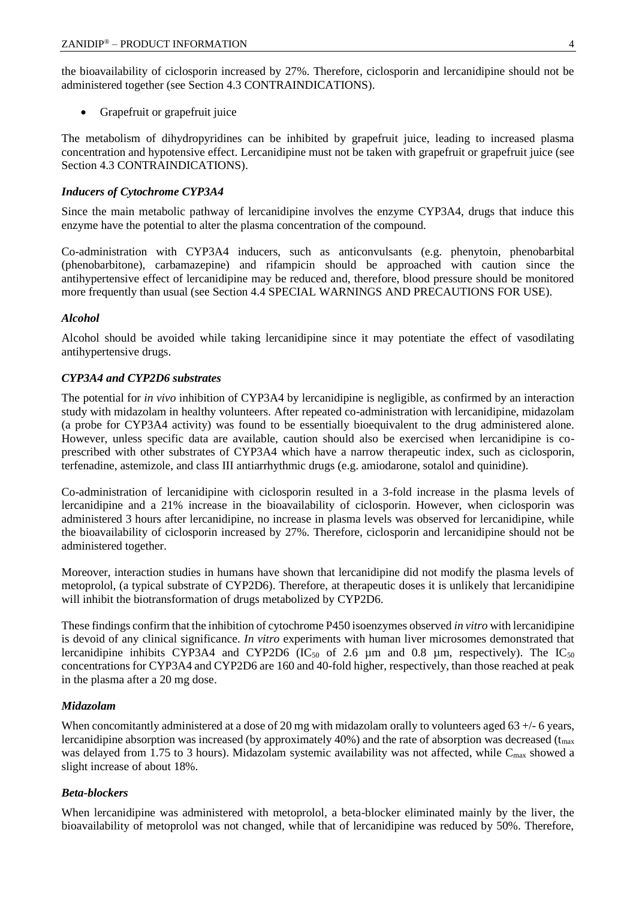the bioavailability of ciclosporin increased by 27%. Therefore, ciclosporin and lercanidipine should not be administered together (see Section 4.3 CONTRAINDICATIONS).

• Grapefruit or grapefruit juice

The metabolism of dihydropyridines can be inhibited by grapefruit juice, leading to increased plasma concentration and hypotensive effect. Lercanidipine must not be taken with grapefruit or grapefruit juice (see Section 4.3 CONTRAINDICATIONS).

#### *Inducers of Cytochrome CYP3A4*

Since the main metabolic pathway of lercanidipine involves the enzyme CYP3A4, drugs that induce this enzyme have the potential to alter the plasma concentration of the compound.

Co-administration with CYP3A4 inducers, such as anticonvulsants (e.g. phenytoin, phenobarbital (phenobarbitone), carbamazepine) and rifampicin should be approached with caution since the antihypertensive effect of lercanidipine may be reduced and, therefore, blood pressure should be monitored more frequently than usual (see Section 4.4 SPECIAL WARNINGS AND PRECAUTIONS FOR USE).

#### *Alcohol*

Alcohol should be avoided while taking lercanidipine since it may potentiate the effect of vasodilating antihypertensive drugs.

#### *CYP3A4 and CYP2D6 substrates*

The potential for *in vivo* inhibition of CYP3A4 by lercanidipine is negligible, as confirmed by an interaction study with midazolam in healthy volunteers. After repeated co-administration with lercanidipine, midazolam (a probe for CYP3A4 activity) was found to be essentially bioequivalent to the drug administered alone. However, unless specific data are available, caution should also be exercised when lercanidipine is coprescribed with other substrates of CYP3A4 which have a narrow therapeutic index, such as ciclosporin, terfenadine, astemizole, and class III antiarrhythmic drugs (e.g. amiodarone, sotalol and quinidine).

Co-administration of lercanidipine with ciclosporin resulted in a 3-fold increase in the plasma levels of lercanidipine and a 21% increase in the bioavailability of ciclosporin. However, when ciclosporin was administered 3 hours after lercanidipine, no increase in plasma levels was observed for lercanidipine, while the bioavailability of ciclosporin increased by 27%. Therefore, ciclosporin and lercanidipine should not be administered together.

Moreover, interaction studies in humans have shown that lercanidipine did not modify the plasma levels of metoprolol, (a typical substrate of CYP2D6). Therefore, at therapeutic doses it is unlikely that lercanidipine will inhibit the biotransformation of drugs metabolized by CYP2D6.

These findings confirm that the inhibition of cytochrome P450 isoenzymes observed *in vitro* with lercanidipine is devoid of any clinical significance. *In vitro* experiments with human liver microsomes demonstrated that lercanidipine inhibits CYP3A4 and CYP2D6 (IC $_{50}$  of 2.6 µm and 0.8 µm, respectively). The IC $_{50}$ concentrations for CYP3A4 and CYP2D6 are 160 and 40-fold higher, respectively, than those reached at peak in the plasma after a 20 mg dose.

#### *Midazolam*

When concomitantly administered at a dose of 20 mg with midazolam orally to volunteers aged 63 +/- 6 years, lercanidipine absorption was increased (by approximately  $40\%$ ) and the rate of absorption was decreased ( $t_{\text{max}}$ ) was delayed from 1.75 to 3 hours). Midazolam systemic availability was not affected, while C<sub>max</sub> showed a slight increase of about 18%.

### *Beta-blockers*

When lercanidipine was administered with metoprolol, a beta-blocker eliminated mainly by the liver, the bioavailability of metoprolol was not changed, while that of lercanidipine was reduced by 50%. Therefore,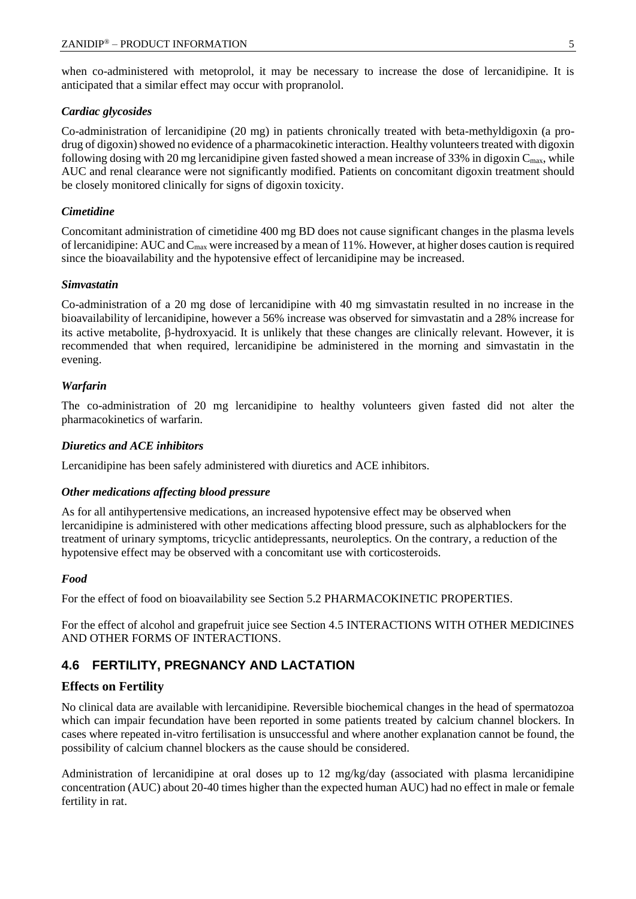when co-administered with metoprolol, it may be necessary to increase the dose of lercanidipine. It is anticipated that a similar effect may occur with propranolol.

#### *Cardiac glycosides*

Co-administration of lercanidipine (20 mg) in patients chronically treated with beta-methyldigoxin (a prodrug of digoxin) showed no evidence of a pharmacokinetic interaction. Healthy volunteers treated with digoxin following dosing with 20 mg lercanidipine given fasted showed a mean increase of 33% in digoxin  $C_{\text{max}}$ , while AUC and renal clearance were not significantly modified. Patients on concomitant digoxin treatment should be closely monitored clinically for signs of digoxin toxicity.

#### *Cimetidine*

Concomitant administration of cimetidine 400 mg BD does not cause significant changes in the plasma levels of lercanidipine: AUC and  $C_{\text{max}}$  were increased by a mean of 11%. However, at higher doses caution is required since the bioavailability and the hypotensive effect of lercanidipine may be increased.

#### *Simvastatin*

Co-administration of a 20 mg dose of lercanidipine with 40 mg simvastatin resulted in no increase in the bioavailability of lercanidipine, however a 56% increase was observed for simvastatin and a 28% increase for its active metabolite,  $\beta$ -hydroxyacid. It is unlikely that these changes are clinically relevant. However, it is recommended that when required, lercanidipine be administered in the morning and simvastatin in the evening.

#### *Warfarin*

The co-administration of 20 mg lercanidipine to healthy volunteers given fasted did not alter the pharmacokinetics of warfarin.

#### *Diuretics and ACE inhibitors*

Lercanidipine has been safely administered with diuretics and ACE inhibitors.

#### *Other medications affecting blood pressure*

As for all antihypertensive medications, an increased hypotensive effect may be observed when lercanidipine is administered with other medications affecting blood pressure, such as alphablockers for the treatment of urinary symptoms, tricyclic antidepressants, neuroleptics. On the contrary, a reduction of the hypotensive effect may be observed with a concomitant use with corticosteroids.

#### *Food*

For the effect of food on bioavailability see Section 5.2 PHARMACOKINETIC PROPERTIES.

For the effect of alcohol and grapefruit juice see Section 4.5 INTERACTIONS WITH OTHER MEDICINES AND OTHER FORMS OF INTERACTIONS.

## **4.6 FERTILITY, PREGNANCY AND LACTATION**

#### **Effects on Fertility**

No clinical data are available with lercanidipine. Reversible biochemical changes in the head of spermatozoa which can impair fecundation have been reported in some patients treated by calcium channel blockers. In cases where repeated in-vitro fertilisation is unsuccessful and where another explanation cannot be found, the possibility of calcium channel blockers as the cause should be considered.

Administration of lercanidipine at oral doses up to 12 mg/kg/day (associated with plasma lercanidipine concentration (AUC) about 20-40 times higher than the expected human AUC) had no effect in male or female fertility in rat.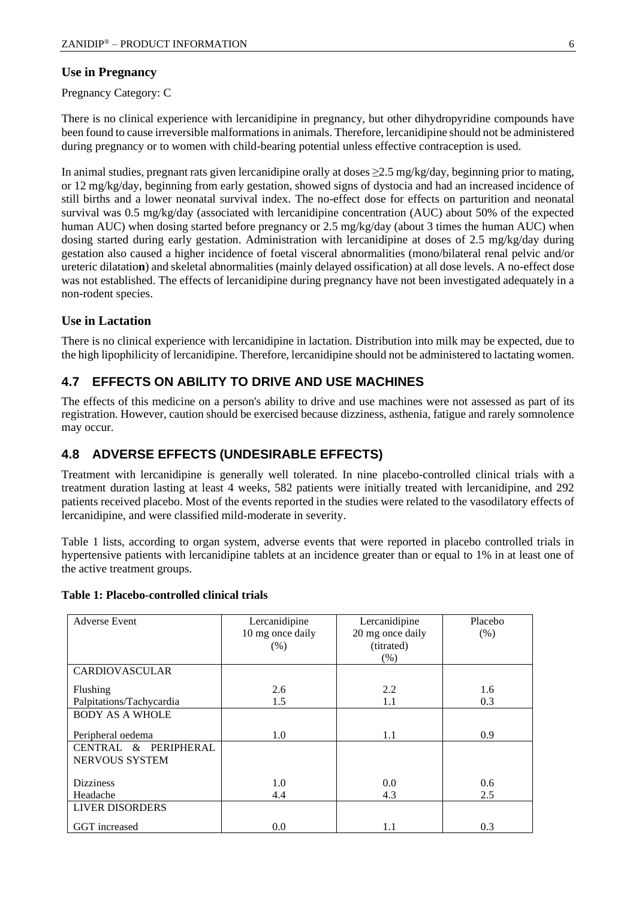### **Use in Pregnancy**

Pregnancy Category: C

There is no clinical experience with lercanidipine in pregnancy, but other dihydropyridine compounds have been found to cause irreversible malformations in animals. Therefore, lercanidipine should not be administered during pregnancy or to women with child-bearing potential unless effective contraception is used.

In animal studies, pregnant rats given lercanidipine orally at doses ≥2.5 mg/kg/day, beginning prior to mating, or 12 mg/kg/day, beginning from early gestation, showed signs of dystocia and had an increased incidence of still births and a lower neonatal survival index. The no-effect dose for effects on parturition and neonatal survival was 0.5 mg/kg/day (associated with lercanidipine concentration (AUC) about 50% of the expected human AUC) when dosing started before pregnancy or 2.5 mg/kg/day (about 3 times the human AUC) when dosing started during early gestation. Administration with lercanidipine at doses of 2.5 mg/kg/day during gestation also caused a higher incidence of foetal visceral abnormalities (mono/bilateral renal pelvic and/or ureteric dilatatio**n**) and skeletal abnormalities (mainly delayed ossification) at all dose levels. A no-effect dose was not established. The effects of lercanidipine during pregnancy have not been investigated adequately in a non-rodent species.

## **Use in Lactation**

There is no clinical experience with lercanidipine in lactation. Distribution into milk may be expected, due to the high lipophilicity of lercanidipine. Therefore, lercanidipine should not be administered to lactating women.

## **4.7 EFFECTS ON ABILITY TO DRIVE AND USE MACHINES**

The effects of this medicine on a person's ability to drive and use machines were not assessed as part of its registration. However, caution should be exercised because dizziness, asthenia, fatigue and rarely somnolence may occur.

## **4.8 ADVERSE EFFECTS (UNDESIRABLE EFFECTS)**

Treatment with lercanidipine is generally well tolerated. In nine placebo-controlled clinical trials with a treatment duration lasting at least 4 weeks, 582 patients were initially treated with lercanidipine, and 292 patients received placebo. Most of the events reported in the studies were related to the vasodilatory effects of lercanidipine, and were classified mild-moderate in severity.

Table 1 lists, according to organ system, adverse events that were reported in placebo controlled trials in hypertensive patients with lercanidipine tablets at an incidence greater than or equal to 1% in at least one of the active treatment groups.

| Table 1: Placebo-controlled clinical trials |
|---------------------------------------------|
|---------------------------------------------|

| <b>Adverse Event</b>     | Lercanidipine    | Lercanidipine    | Placebo |
|--------------------------|------------------|------------------|---------|
|                          | 10 mg once daily | 20 mg once daily | (% )    |
|                          | (% )             | (titrated)       |         |
|                          |                  | $(\%)$           |         |
| <b>CARDIOVASCULAR</b>    |                  |                  |         |
| Flushing                 | 2.6              | 2.2              | 1.6     |
| Palpitations/Tachycardia | 1.5              | 1.1              | 0.3     |
| <b>BODY AS A WHOLE</b>   |                  |                  |         |
| Peripheral oedema        | 1.0              | 1.1              | 0.9     |
| CENTRAL & PERIPHERAL     |                  |                  |         |
| NERVOUS SYSTEM           |                  |                  |         |
|                          |                  |                  |         |
| <b>Dizziness</b>         | 1.0              | 0.0              | 0.6     |
| Headache                 | 4.4              | 4.3              | 2.5     |
| <b>LIVER DISORDERS</b>   |                  |                  |         |
| GGT increased            | 0.0              | 1.1              | 0.3     |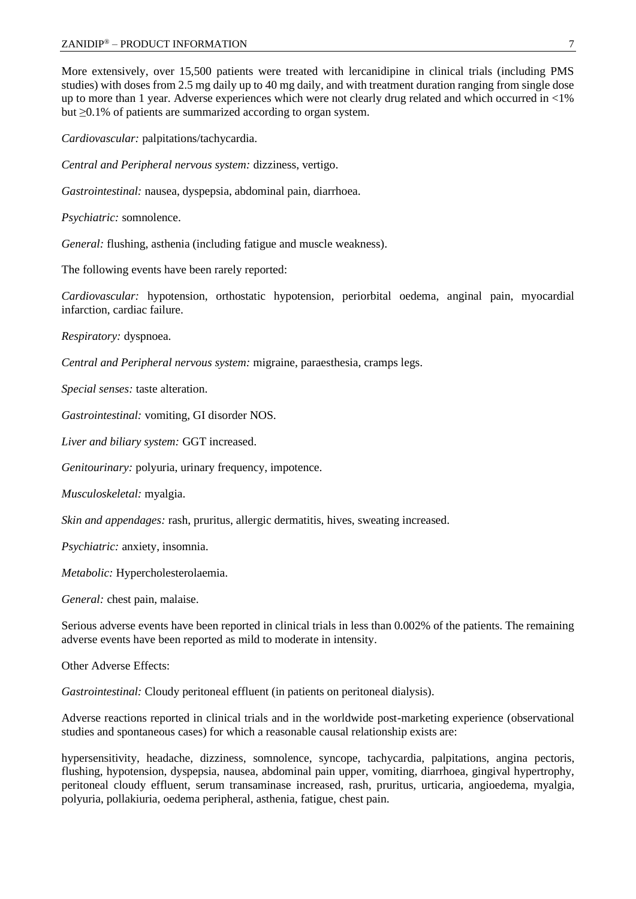More extensively, over 15,500 patients were treated with lercanidipine in clinical trials (including PMS studies) with doses from 2.5 mg daily up to 40 mg daily, and with treatment duration ranging from single dose up to more than 1 year. Adverse experiences which were not clearly drug related and which occurred in <1% but ≥0.1% of patients are summarized according to organ system.

*Cardiovascular:* palpitations/tachycardia.

*Central and Peripheral nervous system:* dizziness, vertigo.

*Gastrointestinal:* nausea, dyspepsia, abdominal pain, diarrhoea.

*Psychiatric:* somnolence.

*General:* flushing, asthenia (including fatigue and muscle weakness).

The following events have been rarely reported:

*Cardiovascular:* hypotension, orthostatic hypotension, periorbital oedema, anginal pain, myocardial infarction, cardiac failure.

*Respiratory:* dyspnoea.

*Central and Peripheral nervous system:* migraine, paraesthesia, cramps legs.

*Special senses:* taste alteration.

*Gastrointestinal:* vomiting, GI disorder NOS.

*Liver and biliary system:* GGT increased.

*Genitourinary:* polyuria, urinary frequency, impotence.

*Musculoskeletal:* myalgia.

*Skin and appendages:* rash, pruritus, allergic dermatitis, hives, sweating increased.

*Psychiatric:* anxiety, insomnia.

*Metabolic:* Hypercholesterolaemia.

*General:* chest pain, malaise.

Serious adverse events have been reported in clinical trials in less than 0.002% of the patients. The remaining adverse events have been reported as mild to moderate in intensity.

Other Adverse Effects:

*Gastrointestinal:* Cloudy peritoneal effluent (in patients on peritoneal dialysis).

Adverse reactions reported in clinical trials and in the worldwide post-marketing experience (observational studies and spontaneous cases) for which a reasonable causal relationship exists are:

hypersensitivity, headache, dizziness, somnolence, syncope, tachycardia, palpitations, angina pectoris, flushing, hypotension, dyspepsia, nausea, abdominal pain upper, vomiting, diarrhoea, gingival hypertrophy, peritoneal cloudy effluent, serum transaminase increased, rash, pruritus, urticaria, angioedema, myalgia, polyuria, pollakiuria, oedema peripheral, asthenia, fatigue, chest pain.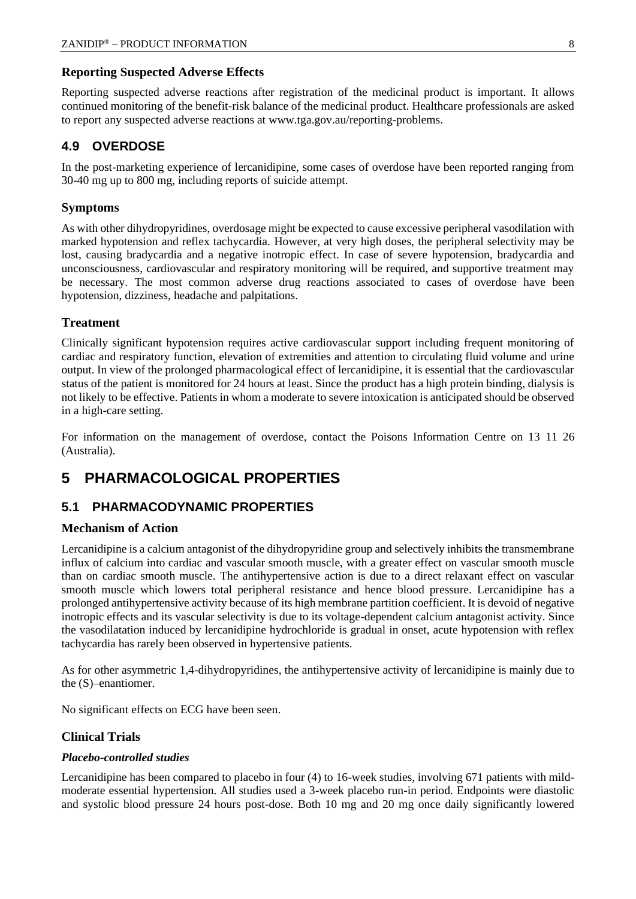#### **Reporting Suspected Adverse Effects**

Reporting suspected adverse reactions after registration of the medicinal product is important. It allows continued monitoring of the benefit-risk balance of the medicinal product. Healthcare professionals are asked to report any suspected adverse reactions at [www.tga.gov.au/reporting-problems.](http://www.tga.gov.au/reporting-problems)

### **4.9 OVERDOSE**

In the post-marketing experience of lercanidipine, some cases of overdose have been reported ranging from 30-40 mg up to 800 mg, including reports of suicide attempt.

#### **Symptoms**

As with other dihydropyridines, overdosage might be expected to cause excessive peripheral vasodilation with marked hypotension and reflex tachycardia. However, at very high doses, the peripheral selectivity may be lost, causing bradycardia and a negative inotropic effect. In case of severe hypotension, bradycardia and unconsciousness, cardiovascular and respiratory monitoring will be required, and supportive treatment may be necessary. The most common adverse drug reactions associated to cases of overdose have been hypotension, dizziness, headache and palpitations.

#### **Treatment**

Clinically significant hypotension requires active cardiovascular support including frequent monitoring of cardiac and respiratory function, elevation of extremities and attention to circulating fluid volume and urine output. In view of the prolonged pharmacological effect of lercanidipine, it is essential that the cardiovascular status of the patient is monitored for 24 hours at least. Since the product has a high protein binding, dialysis is not likely to be effective. Patients in whom a moderate to severe intoxication is anticipated should be observed in a high-care setting.

For information on the management of overdose, contact the Poisons Information Centre on 13 11 26 (Australia).

## **5 PHARMACOLOGICAL PROPERTIES**

### **5.1 PHARMACODYNAMIC PROPERTIES**

#### **Mechanism of Action**

Lercanidipine is a calcium antagonist of the dihydropyridine group and selectively inhibits the transmembrane influx of calcium into cardiac and vascular smooth muscle, with a greater effect on vascular smooth muscle than on cardiac smooth muscle. The antihypertensive action is due to a direct relaxant effect on vascular smooth muscle which lowers total peripheral resistance and hence blood pressure. Lercanidipine has a prolonged antihypertensive activity because of its high membrane partition coefficient. It is devoid of negative inotropic effects and its vascular selectivity is due to its voltage-dependent calcium antagonist activity. Since the vasodilatation induced by lercanidipine hydrochloride is gradual in onset, acute hypotension with reflex tachycardia has rarely been observed in hypertensive patients.

As for other asymmetric 1,4-dihydropyridines, the antihypertensive activity of lercanidipine is mainly due to the (S)–enantiomer.

No significant effects on ECG have been seen.

#### **Clinical Trials**

#### *Placebo-controlled studies*

Lercanidipine has been compared to placebo in four (4) to 16-week studies, involving 671 patients with mildmoderate essential hypertension. All studies used a 3-week placebo run-in period. Endpoints were diastolic and systolic blood pressure 24 hours post-dose. Both 10 mg and 20 mg once daily significantly lowered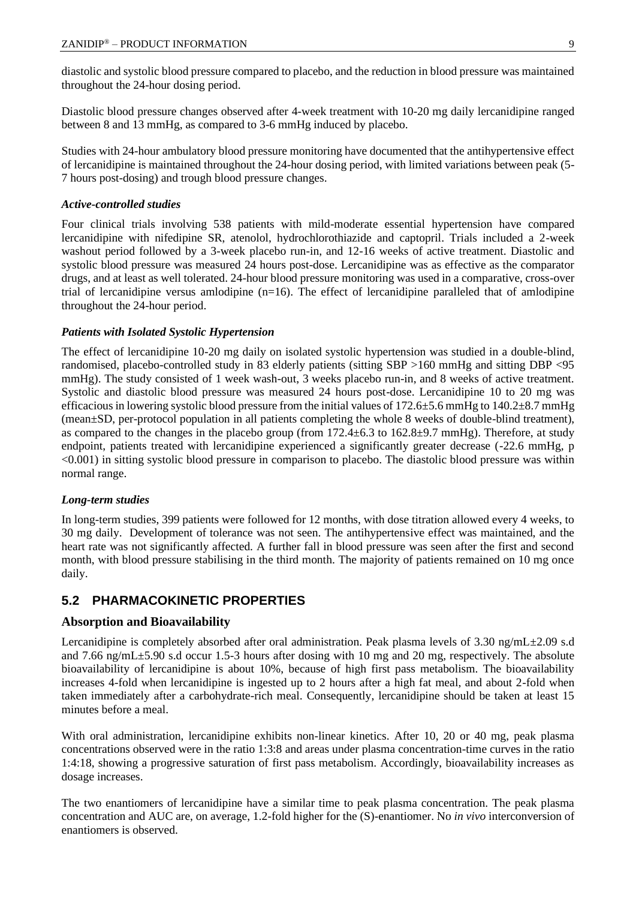diastolic and systolic blood pressure compared to placebo, and the reduction in blood pressure was maintained throughout the 24-hour dosing period.

Diastolic blood pressure changes observed after 4-week treatment with 10-20 mg daily lercanidipine ranged between 8 and 13 mmHg, as compared to 3-6 mmHg induced by placebo.

Studies with 24-hour ambulatory blood pressure monitoring have documented that the antihypertensive effect of lercanidipine is maintained throughout the 24-hour dosing period, with limited variations between peak (5- 7 hours post-dosing) and trough blood pressure changes.

#### *Active-controlled studies*

Four clinical trials involving 538 patients with mild-moderate essential hypertension have compared lercanidipine with nifedipine SR, atenolol, hydrochlorothiazide and captopril. Trials included a 2-week washout period followed by a 3-week placebo run-in, and 12-16 weeks of active treatment. Diastolic and systolic blood pressure was measured 24 hours post-dose. Lercanidipine was as effective as the comparator drugs, and at least as well tolerated. 24-hour blood pressure monitoring was used in a comparative, cross-over trial of lercanidipine versus amlodipine (n=16). The effect of lercanidipine paralleled that of amlodipine throughout the 24-hour period.

#### *Patients with Isolated Systolic Hypertension*

The effect of lercanidipine 10-20 mg daily on isolated systolic hypertension was studied in a double-blind, randomised, placebo-controlled study in 83 elderly patients (sitting SBP >160 mmHg and sitting DBP <95 mmHg). The study consisted of 1 week wash-out, 3 weeks placebo run-in, and 8 weeks of active treatment. Systolic and diastolic blood pressure was measured 24 hours post-dose. Lercanidipine 10 to 20 mg was efficacious in lowering systolic blood pressure from the initial values of  $172.6\pm5.6$  mmHg to  $140.2\pm8.7$  mmHg (mean±SD, per-protocol population in all patients completing the whole 8 weeks of double-blind treatment), as compared to the changes in the placebo group (from 172.4±6.3 to 162.8±9.7 mmHg). Therefore, at study endpoint, patients treated with lercanidipine experienced a significantly greater decrease (-22.6 mmHg, p <0.001) in sitting systolic blood pressure in comparison to placebo. The diastolic blood pressure was within normal range.

#### *Long-term studies*

In long-term studies, 399 patients were followed for 12 months, with dose titration allowed every 4 weeks, to 30 mg daily. Development of tolerance was not seen. The antihypertensive effect was maintained, and the heart rate was not significantly affected. A further fall in blood pressure was seen after the first and second month, with blood pressure stabilising in the third month. The majority of patients remained on 10 mg once daily.

## **5.2 PHARMACOKINETIC PROPERTIES**

#### **Absorption and Bioavailability**

Lercanidipine is completely absorbed after oral administration. Peak plasma levels of 3.30 ng/mL $\pm$ 2.09 s.d and 7.66 ng/mL±5.90 s.d occur 1.5-3 hours after dosing with 10 mg and 20 mg, respectively. The absolute bioavailability of lercanidipine is about 10%, because of high first pass metabolism. The bioavailability increases 4-fold when lercanidipine is ingested up to 2 hours after a high fat meal, and about 2-fold when taken immediately after a carbohydrate-rich meal. Consequently, lercanidipine should be taken at least 15 minutes before a meal.

With oral administration, lercanidipine exhibits non-linear kinetics. After 10, 20 or 40 mg, peak plasma concentrations observed were in the ratio 1:3:8 and areas under plasma concentration-time curves in the ratio 1:4:18, showing a progressive saturation of first pass metabolism. Accordingly, bioavailability increases as dosage increases.

The two enantiomers of lercanidipine have a similar time to peak plasma concentration. The peak plasma concentration and AUC are, on average, 1.2-fold higher for the (S)-enantiomer. No *in vivo* interconversion of enantiomers is observed.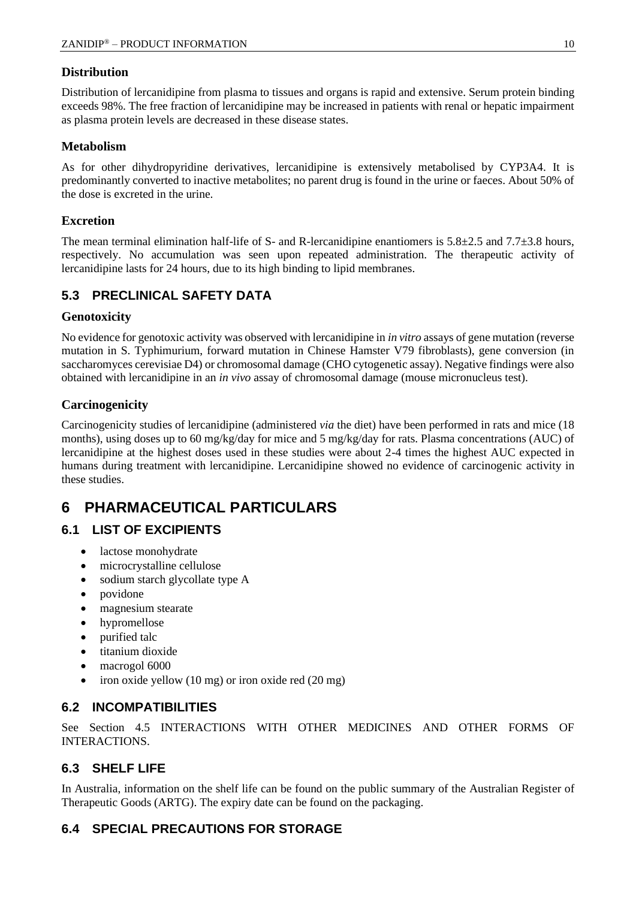## **Distribution**

Distribution of lercanidipine from plasma to tissues and organs is rapid and extensive. Serum protein binding exceeds 98%. The free fraction of lercanidipine may be increased in patients with renal or hepatic impairment as plasma protein levels are decreased in these disease states.

### **Metabolism**

As for other dihydropyridine derivatives, lercanidipine is extensively metabolised by CYP3A4. It is predominantly converted to inactive metabolites; no parent drug is found in the urine or faeces. About 50% of the dose is excreted in the urine.

### **Excretion**

The mean terminal elimination half-life of S- and R-lercanidipine enantiomers is  $5.8 \pm 2.5$  and  $7.7 \pm 3.8$  hours, respectively. No accumulation was seen upon repeated administration. The therapeutic activity of lercanidipine lasts for 24 hours, due to its high binding to lipid membranes.

## **5.3 PRECLINICAL SAFETY DATA**

## **Genotoxicity**

No evidence for genotoxic activity was observed with lercanidipine in *in vitro* assays of gene mutation (reverse mutation in S. Typhimurium, forward mutation in Chinese Hamster V79 fibroblasts), gene conversion (in saccharomyces cerevisiae D4) or chromosomal damage (CHO cytogenetic assay). Negative findings were also obtained with lercanidipine in an *in vivo* assay of chromosomal damage (mouse micronucleus test).

## **Carcinogenicity**

Carcinogenicity studies of lercanidipine (administered *via* the diet) have been performed in rats and mice (18 months), using doses up to 60 mg/kg/day for mice and 5 mg/kg/day for rats. Plasma concentrations (AUC) of lercanidipine at the highest doses used in these studies were about 2-4 times the highest AUC expected in humans during treatment with lercanidipine. Lercanidipine showed no evidence of carcinogenic activity in these studies.

## **6 PHARMACEUTICAL PARTICULARS**

## **6.1 LIST OF EXCIPIENTS**

- lactose monohydrate
- microcrystalline cellulose
- sodium starch glycollate type A
- povidone
- magnesium stearate
- hypromellose
- purified talc
- titanium dioxide
- macrogol 6000
- iron oxide yellow (10 mg) or iron oxide red (20 mg)

## **6.2 INCOMPATIBILITIES**

See Section 4.5 INTERACTIONS WITH OTHER MEDICINES AND OTHER FORMS OF INTERACTIONS.

## **6.3 SHELF LIFE**

In Australia, information on the shelf life can be found on the public summary of the Australian Register of Therapeutic Goods (ARTG). The expiry date can be found on the packaging.

## **6.4 SPECIAL PRECAUTIONS FOR STORAGE**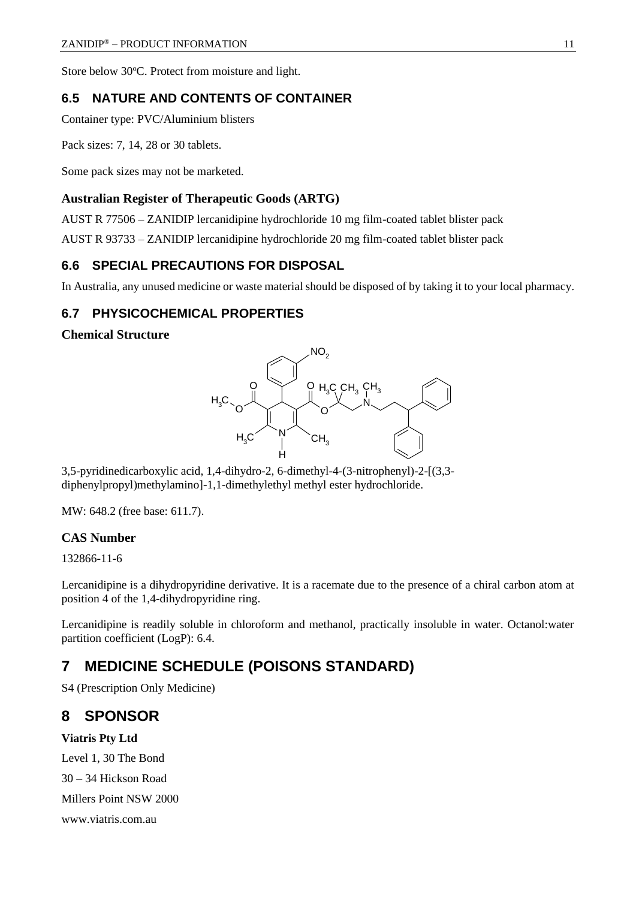Store below 30°C. Protect from moisture and light.

### **6.5 NATURE AND CONTENTS OF CONTAINER**

Container type: PVC/Aluminium blisters

Pack sizes: 7, 14, 28 or 30 tablets.

Some pack sizes may not be marketed.

#### **Australian Register of Therapeutic Goods (ARTG)**

AUST R 77506 – ZANIDIP lercanidipine hydrochloride 10 mg film-coated tablet blister pack

AUST R 93733 – ZANIDIP lercanidipine hydrochloride 20 mg film-coated tablet blister pack

### **6.6 SPECIAL PRECAUTIONS FOR DISPOSAL**

In Australia, any unused medicine or waste material should be disposed of by taking it to your local pharmacy.

## **6.7 PHYSICOCHEMICAL PROPERTIES**

#### **Chemical Structure**



3,5-pyridinedicarboxylic acid, 1,4-dihydro-2, 6-dimethyl-4-(3-nitrophenyl)-2-[(3,3 diphenylpropyl)methylamino]-1,1-dimethylethyl methyl ester hydrochloride.

MW: 648.2 (free base: 611.7).

### **CAS Number**

132866-11-6

Lercanidipine is a dihydropyridine derivative. It is a racemate due to the presence of a chiral carbon atom at position 4 of the 1,4-dihydropyridine ring.

Lercanidipine is readily soluble in chloroform and methanol, practically insoluble in water. Octanol:water partition coefficient (LogP): 6.4.

## **7 MEDICINE SCHEDULE (POISONS STANDARD)**

S4 (Prescription Only Medicine)

## **8 SPONSOR**

#### **Viatris Pty Ltd**

Level 1, 30 The Bond 30 – 34 Hickson Road Millers Point NSW 2000 www.viatris.com.au